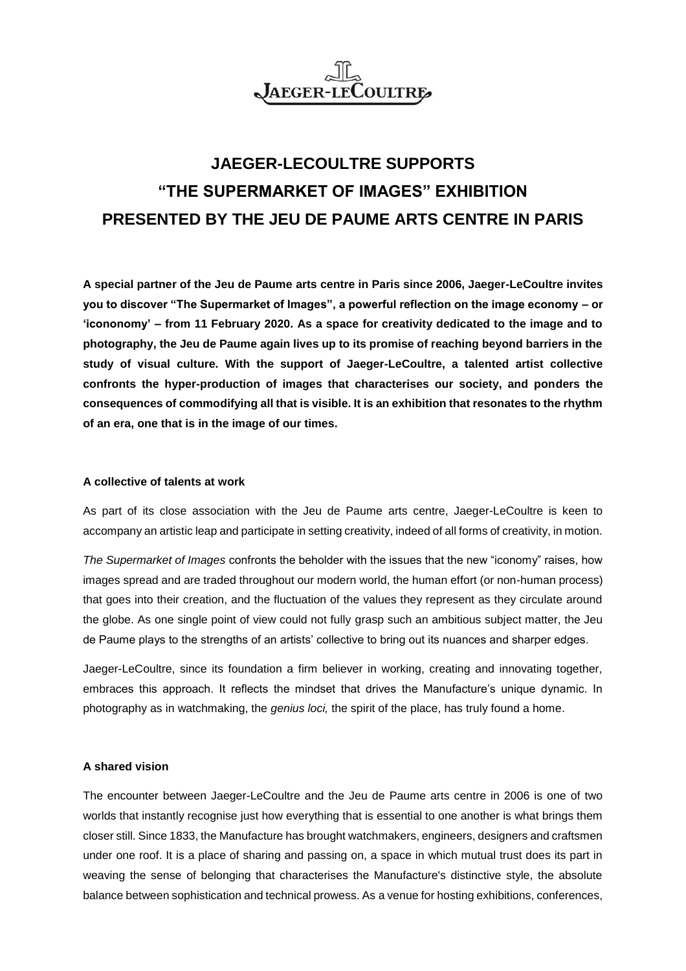

## **JAEGER-LECOULTRE SUPPORTS "THE SUPERMARKET OF IMAGES" EXHIBITION PRESENTED BY THE JEU DE PAUME ARTS CENTRE IN PARIS**

**A special partner of the Jeu de Paume arts centre in Paris since 2006, Jaeger-LeCoultre invites you to discover "The Supermarket of Images", a powerful reflection on the image economy – or 'icononomy' – from 11 February 2020. As a space for creativity dedicated to the image and to photography, the Jeu de Paume again lives up to its promise of reaching beyond barriers in the study of visual culture. With the support of Jaeger-LeCoultre, a talented artist collective confronts the hyper-production of images that characterises our society, and ponders the consequences of commodifying all that is visible. It is an exhibition that resonates to the rhythm of an era, one that is in the image of our times.**

## **A collective of talents at work**

As part of its close association with the Jeu de Paume arts centre, Jaeger-LeCoultre is keen to accompany an artistic leap and participate in setting creativity, indeed of all forms of creativity, in motion.

*The Supermarket of Images* confronts the beholder with the issues that the new "iconomy" raises, how images spread and are traded throughout our modern world, the human effort (or non-human process) that goes into their creation, and the fluctuation of the values they represent as they circulate around the globe. As one single point of view could not fully grasp such an ambitious subject matter, the Jeu de Paume plays to the strengths of an artists' collective to bring out its nuances and sharper edges.

Jaeger-LeCoultre, since its foundation a firm believer in working, creating and innovating together, embraces this approach. It reflects the mindset that drives the Manufacture's unique dynamic. In photography as in watchmaking, the *genius loci,* the spirit of the place, has truly found a home.

## **A shared vision**

The encounter between Jaeger-LeCoultre and the Jeu de Paume arts centre in 2006 is one of two worlds that instantly recognise just how everything that is essential to one another is what brings them closer still. Since 1833, the Manufacture has brought watchmakers, engineers, designers and craftsmen under one roof. It is a place of sharing and passing on, a space in which mutual trust does its part in weaving the sense of belonging that characterises the Manufacture's distinctive style, the absolute balance between sophistication and technical prowess. As a venue for hosting exhibitions, conferences,